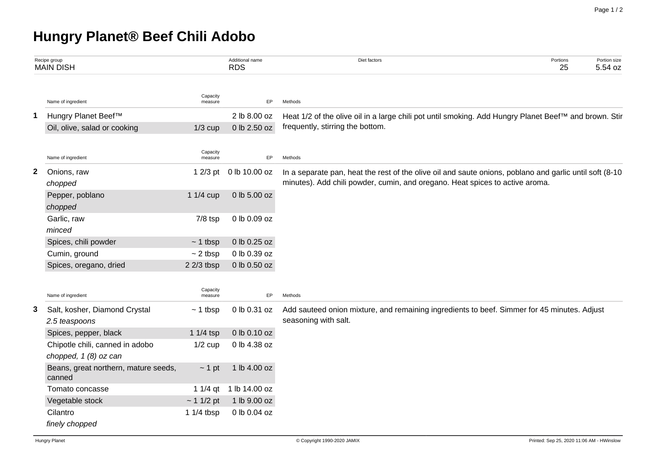## **Hungry Planet® Beef Chili Adobo**

| Recipe group<br><b>MAIN DISH</b> |                                                          | Additional name<br><b>RDS</b> | Diet factors  | Portions<br>25                                                                                                                                                                          | Portion size<br>5.54 oz |  |  |  |  |  |  |
|----------------------------------|----------------------------------------------------------|-------------------------------|---------------|-----------------------------------------------------------------------------------------------------------------------------------------------------------------------------------------|-------------------------|--|--|--|--|--|--|
|                                  | Name of ingredient                                       | Capacity<br>measure           | EP            | Methods                                                                                                                                                                                 |                         |  |  |  |  |  |  |
| 1                                | Hungry Planet Beef™                                      |                               | 2 lb 8.00 oz  | Heat 1/2 of the olive oil in a large chili pot until smoking. Add Hungry Planet Beef™ and brown. Stir                                                                                   |                         |  |  |  |  |  |  |
|                                  | Oil, olive, salad or cooking                             | $1/3$ cup                     | 0 lb 2.50 oz  | frequently, stirring the bottom.                                                                                                                                                        |                         |  |  |  |  |  |  |
|                                  | Name of ingredient                                       | Capacity<br>measure           | EP            | Methods                                                                                                                                                                                 |                         |  |  |  |  |  |  |
| $\mathbf{2}$                     | Onions, raw<br>chopped                                   | $12/3$ pt                     | 0 lb 10.00 oz | In a separate pan, heat the rest of the olive oil and saute onions, poblano and garlic until soft (8-10<br>minutes). Add chili powder, cumin, and oregano. Heat spices to active aroma. |                         |  |  |  |  |  |  |
|                                  | Pepper, poblano<br>chopped                               | 1 1/4 cup                     | 0 lb 5.00 oz  |                                                                                                                                                                                         |                         |  |  |  |  |  |  |
|                                  | Garlic, raw<br>minced                                    | $7/8$ tsp                     | 0 lb 0.09 oz  |                                                                                                                                                                                         |                         |  |  |  |  |  |  |
|                                  | Spices, chili powder                                     | $~1$ tbsp                     | 0 lb 0.25 oz  |                                                                                                                                                                                         |                         |  |  |  |  |  |  |
|                                  | Cumin, ground                                            | $\sim$ 2 tbsp                 | 0 lb 0.39 oz  |                                                                                                                                                                                         |                         |  |  |  |  |  |  |
|                                  | Spices, oregano, dried                                   | $22/3$ tbsp                   | 0 lb 0.50 oz  |                                                                                                                                                                                         |                         |  |  |  |  |  |  |
|                                  | Name of ingredient                                       | Capacity<br>measure           | EP            | Methods                                                                                                                                                                                 |                         |  |  |  |  |  |  |
| 3                                | Salt, kosher, Diamond Crystal<br>2.5 teaspoons           | $~1$ tbsp                     | 0 lb 0.31 oz  | Add sauteed onion mixture, and remaining ingredients to beef. Simmer for 45 minutes. Adjust<br>seasoning with salt.                                                                     |                         |  |  |  |  |  |  |
|                                  | Spices, pepper, black                                    | 1 $1/4$ tsp                   | 0 lb 0.10 oz  |                                                                                                                                                                                         |                         |  |  |  |  |  |  |
|                                  | Chipotle chili, canned in adobo<br>chopped, 1 (8) oz can | $1/2$ cup                     | 0 lb 4.38 oz  |                                                                                                                                                                                         |                         |  |  |  |  |  |  |
|                                  | Beans, great northern, mature seeds,<br>canned           | $\sim$ 1 pt                   | 1 lb 4.00 oz  |                                                                                                                                                                                         |                         |  |  |  |  |  |  |
|                                  | Tomato concasse                                          | 1 $1/4$ qt                    | 1 lb 14.00 oz |                                                                                                                                                                                         |                         |  |  |  |  |  |  |
|                                  | Vegetable stock                                          | ~11/2~pt                      | 1 lb 9.00 oz  |                                                                                                                                                                                         |                         |  |  |  |  |  |  |
|                                  | Cilantro                                                 | 1 1/4 tbsp                    | 0 lb 0.04 oz  |                                                                                                                                                                                         |                         |  |  |  |  |  |  |
|                                  | finely chopped                                           |                               |               |                                                                                                                                                                                         |                         |  |  |  |  |  |  |